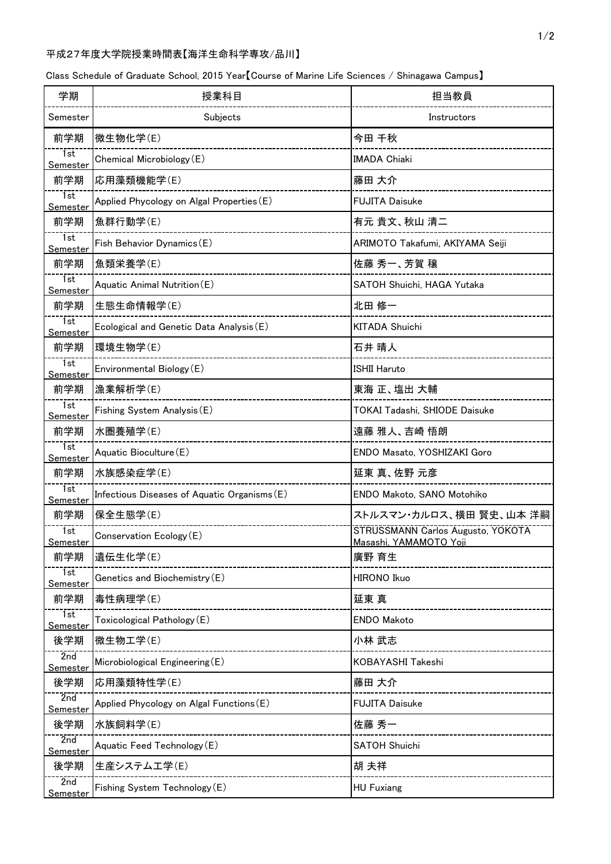## 平成27年度大学院授業時間表【海洋生命科学専攻/品川】

|  |  | Class Schedule of Graduate School, 2015 Year [Course of Marine Life Sciences / Shinagawa Campus] |  |
|--|--|--------------------------------------------------------------------------------------------------|--|
|--|--|--------------------------------------------------------------------------------------------------|--|

| 学期                           | 授業科目                                         | 担当教員                                                        |
|------------------------------|----------------------------------------------|-------------------------------------------------------------|
| Semester                     | Subjects                                     | Instructors                                                 |
| 前学期                          | 微生物化学(E)                                     | 今田 千秋                                                       |
| 1st<br><u>Semester</u>       | Chemical Microbiology (E)                    | <b>IMADA Chiaki</b>                                         |
| 前学期                          | 応用藻類機能学(E)                                   | 藤田 大介                                                       |
| 1st<br><b>Semester</b>       | Applied Phycology on Algal Properties (E)    | <b>FUJITA Daisuke</b>                                       |
| 前学期                          | 魚群行動学(E)                                     | 有元 貴文、秋山 清二                                                 |
| 1st<br><u>Semester</u>       | Fish Behavior Dynamics (E)                   | ARIMOTO Takafumi, AKIYAMA Seiji                             |
| 前学期                          | 魚類栄養学(E)                                     | 佐藤 秀一、芳賀 穣                                                  |
| 1st<br>Semester              | Aquatic Animal Nutrition (E)                 | SATOH Shuichi, HAGA Yutaka                                  |
| 前学期                          | 生態生命情報学(E)                                   | 北田 修一                                                       |
| 1st<br><u>Semester</u>       | Ecological and Genetic Data Analysis (E)     | <b>KITADA Shuichi</b>                                       |
| 前学期                          | 環境生物学(E)                                     | 石井 晴人                                                       |
| 1st<br>Semester              | Environmental Biology (E)                    | <b>ISHII Haruto</b>                                         |
| 前学期                          | 漁業解析学(E)                                     | 東海 正、塩出 大輔                                                  |
| 1st<br><u>Semester</u>       | Fishing System Analysis (E)                  | TOKAI Tadashi, SHIODE Daisuke                               |
| 前学期                          | 水圏養殖学(E)                                     | 遠藤 雅人、吉崎 悟朗                                                 |
| 1st<br><u>Semester</u>       | Aquatic Bioculture(E)                        | ENDO Masato, YOSHIZAKI Goro                                 |
| 前学期                          | 水族感染症学(E)                                    | 延東 真、佐野 元彦                                                  |
| 1st<br><u>Semester</u>       | Infectious Diseases of Aquatic Organisms (E) | ENDO Makoto, SANO Motohiko                                  |
| 前学期                          | 保全生態学(E)                                     | ストルスマン・カルロス、横田 賢史、山本 洋嗣                                     |
| $\overline{1st}$<br>Semester | Conservation Ecology (E)                     | STRUSSMANN Carlos Augusto, YOKOTA<br>Masashi, YAMAMOTO Yoji |
| 前学期                          | 遺伝生化学(E)                                     | 廣野 育生                                                       |
| 7st<br>Semester              | Genetics and Biochemistry (E)                | <b>HIRONO Ikuo</b>                                          |
| 前学期                          | 毒性病理学(E)                                     | 延東 真                                                        |
| 7st<br><u>Semester</u>       | Toxicological Pathology (E)                  | <b>ENDO Makoto</b>                                          |
| 後学期                          | 微生物工学(E)                                     | 小林 武志                                                       |
| 2nd<br><u>Semester</u>       | Microbiological Engineering (E)              | KOBAYASHI Takeshi                                           |
| 後学期                          | 応用藻類特性学(E)                                   | 藤田 大介                                                       |
| 2nd<br><u>Semester</u>       | Applied Phycology on Algal Functions (E)     | <b>FUJITA Daisuke</b>                                       |
| 後学期                          | 水族飼料学(E)                                     | 佐藤 秀一                                                       |
| 2nd<br>Semester              | Aquatic Feed Technology (E)                  | <b>SATOH Shuichi</b>                                        |
| 後学期                          | 生産システム工学(E)                                  | 胡 夫祥                                                        |
| 2nd<br>Semeste               | Fishing System Technology (E)                | <b>HU Fuxiang</b>                                           |